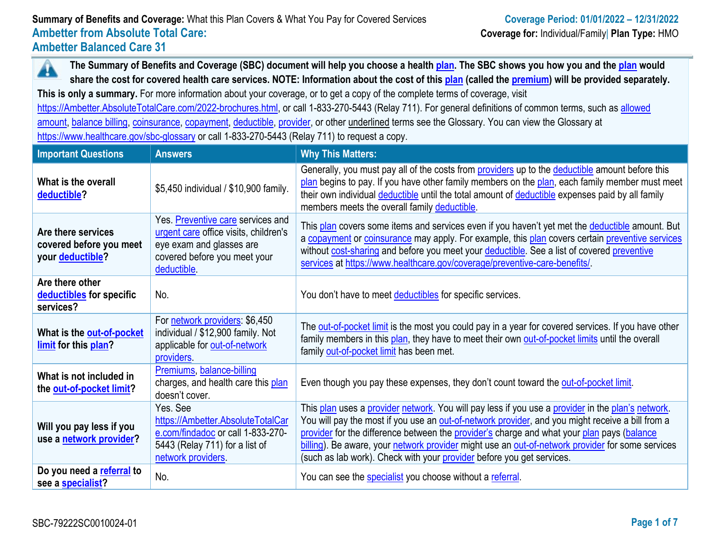A **The Summary of Benefits and Coverage (SBC) document will help you choose a health [plan.](https://www.healthcare.gov/sbc-glossary/#plan) The SBC shows you how you and the [plan](https://www.healthcare.gov/sbc-glossary/#plan) would share the cost for covered health care services. NOTE: Information about the cost of this [plan](https://www.healthcare.gov/sbc-glossary/#plan) (called the [premium\)](https://www.healthcare.gov/sbc-glossary/#premium) will be provided separately.**

**This is only a summary.** For more information about your coverage, or to get a copy of the complete terms of coverage, visit

[https://Ambetter.AbsoluteTotalCare.com/2022-brochures.html,](https://ambetter.absolutetotalcare.com/2022-brochures.html) or call 1-833-270-5443 (Relay 711). For general definitions of common terms, such as allowed [amount,](https://www.healthcare.gov/sbc-glossary/#allowed-amount) [balance billing,](https://www.healthcare.gov/sbc-glossary/#balance-billing) [coinsurance,](https://www.healthcare.gov/sbc-glossary/#coinsurance) [copayment,](https://www.healthcare.gov/sbc-glossary/#copayment) [deductible,](https://www.healthcare.gov/sbc-glossary/#deductible) [provider,](https://www.healthcare.gov/sbc-glossary/#provider) or other underlined terms see the Glossary. You can view the Glossary at <https://www.healthcare.gov/sbc-glossary> or call 1-833-270-5443 (Relay 711) to request a copy.

| <b>Important Questions</b>                                                | <b>Answers</b>                                                                                                                                        | <b>Why This Matters:</b>                                                                                                                                                                                                                                                                                                                                                                                                                                                         |
|---------------------------------------------------------------------------|-------------------------------------------------------------------------------------------------------------------------------------------------------|----------------------------------------------------------------------------------------------------------------------------------------------------------------------------------------------------------------------------------------------------------------------------------------------------------------------------------------------------------------------------------------------------------------------------------------------------------------------------------|
| What is the overall<br>deductible?                                        | \$5,450 individual / \$10,900 family.                                                                                                                 | Generally, you must pay all of the costs from providers up to the deductible amount before this<br>plan begins to pay. If you have other family members on the plan, each family member must meet<br>their own individual deductible until the total amount of deductible expenses paid by all family<br>members meets the overall family deductible.                                                                                                                            |
| Are there services<br>covered before you meet<br>your <b>deductible</b> ? | Yes. Preventive care services and<br>urgent care office visits, children's<br>eye exam and glasses are<br>covered before you meet your<br>deductible. | This plan covers some items and services even if you haven't yet met the deductible amount. But<br>a copayment or coinsurance may apply. For example, this plan covers certain preventive services<br>without cost-sharing and before you meet your deductible. See a list of covered preventive<br>services at https://www.healthcare.gov/coverage/preventive-care-benefits/.                                                                                                   |
| Are there other<br>deductibles for specific<br>services?                  | No.                                                                                                                                                   | You don't have to meet deductibles for specific services.                                                                                                                                                                                                                                                                                                                                                                                                                        |
| What is the <b>out-of-pocket</b><br>limit for this plan?                  | For network providers: \$6,450<br>individual / \$12,900 family. Not<br>applicable for out-of-network<br>providers.                                    | The out-of-pocket limit is the most you could pay in a year for covered services. If you have other<br>family members in this plan, they have to meet their own out-of-pocket limits until the overall<br>family out-of-pocket limit has been met.                                                                                                                                                                                                                               |
| What is not included in<br>the out-of-pocket limit?                       | Premiums, balance-billing<br>charges, and health care this plan<br>doesn't cover.                                                                     | Even though you pay these expenses, they don't count toward the out-of-pocket limit.                                                                                                                                                                                                                                                                                                                                                                                             |
| Will you pay less if you<br>use a network provider?                       | Yes. See<br>https://Ambetter.AbsoluteTotalCar<br>e.com/findadoc or call 1-833-270-<br>5443 (Relay 711) for a list of<br>network providers             | This plan uses a provider network. You will pay less if you use a provider in the plan's network.<br>You will pay the most if you use an out-of-network provider, and you might receive a bill from a<br>provider for the difference between the provider's charge and what your plan pays (balance<br>billing). Be aware, your network provider might use an out-of-network provider for some services<br>(such as lab work). Check with your provider before you get services. |
| Do you need a referral to<br>see a specialist?                            | No.                                                                                                                                                   | You can see the specialist you choose without a referral.                                                                                                                                                                                                                                                                                                                                                                                                                        |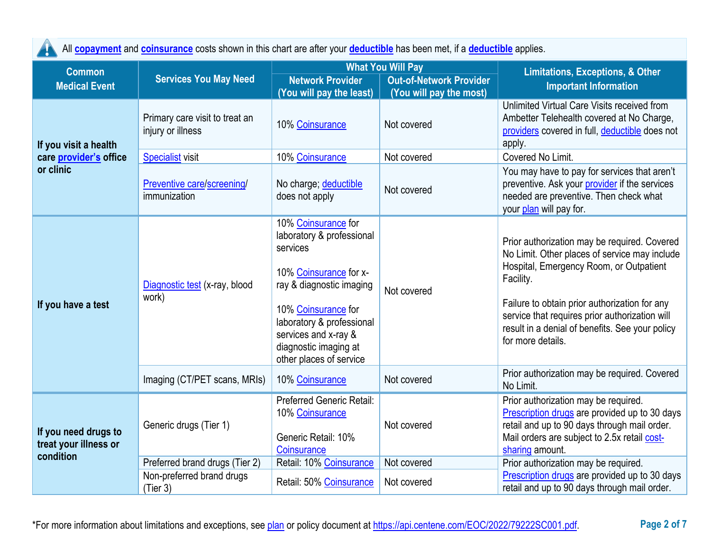| All copayment and coinsurance costs shown in this chart are after your deductible has been met, if a deductible applies. |  |  |  |  |  |
|--------------------------------------------------------------------------------------------------------------------------|--|--|--|--|--|
|--------------------------------------------------------------------------------------------------------------------------|--|--|--|--|--|

| <b>Common</b>                                              |                                                     |                                                                                                                                                                                                                                                    | <b>What You Will Pay</b>                                  | <b>Limitations, Exceptions, &amp; Other</b><br><b>Important Information</b>                                                                                                                                                                                                                                                      |  |
|------------------------------------------------------------|-----------------------------------------------------|----------------------------------------------------------------------------------------------------------------------------------------------------------------------------------------------------------------------------------------------------|-----------------------------------------------------------|----------------------------------------------------------------------------------------------------------------------------------------------------------------------------------------------------------------------------------------------------------------------------------------------------------------------------------|--|
| <b>Medical Event</b>                                       | <b>Services You May Need</b>                        | <b>Network Provider</b><br>(You will pay the least)                                                                                                                                                                                                | <b>Out-of-Network Provider</b><br>(You will pay the most) |                                                                                                                                                                                                                                                                                                                                  |  |
| If you visit a health                                      | Primary care visit to treat an<br>injury or illness | 10% Coinsurance                                                                                                                                                                                                                                    | Not covered                                               | Unlimited Virtual Care Visits received from<br>Ambetter Telehealth covered at No Charge,<br>providers covered in full, deductible does not<br>apply.                                                                                                                                                                             |  |
| care provider's office                                     | <b>Specialist</b> visit                             | 10% Coinsurance                                                                                                                                                                                                                                    | Not covered                                               | Covered No Limit.                                                                                                                                                                                                                                                                                                                |  |
| or clinic                                                  | Preventive care/screening/<br>immunization          | No charge; deductible<br>does not apply                                                                                                                                                                                                            | Not covered                                               | You may have to pay for services that aren't<br>preventive. Ask your provider if the services<br>needed are preventive. Then check what<br>your plan will pay for.                                                                                                                                                               |  |
| If you have a test                                         | Diagnostic test (x-ray, blood<br>work)              | 10% Coinsurance for<br>laboratory & professional<br>services<br>10% Coinsurance for x-<br>ray & diagnostic imaging<br>10% Coinsurance for<br>laboratory & professional<br>services and x-ray &<br>diagnostic imaging at<br>other places of service | Not covered                                               | Prior authorization may be required. Covered<br>No Limit. Other places of service may include<br>Hospital, Emergency Room, or Outpatient<br>Facility.<br>Failure to obtain prior authorization for any<br>service that requires prior authorization will<br>result in a denial of benefits. See your policy<br>for more details. |  |
|                                                            | Imaging (CT/PET scans, MRIs)                        | 10% Coinsurance                                                                                                                                                                                                                                    | Not covered                                               | Prior authorization may be required. Covered<br>No Limit.                                                                                                                                                                                                                                                                        |  |
| If you need drugs to<br>treat your illness or<br>condition | Generic drugs (Tier 1)                              | <b>Preferred Generic Retail:</b><br>10% Coinsurance<br>Generic Retail: 10%<br>Coinsurance                                                                                                                                                          | Not covered                                               | Prior authorization may be required.<br>Prescription drugs are provided up to 30 days<br>retail and up to 90 days through mail order.<br>Mail orders are subject to 2.5x retail cost-<br>sharing amount.                                                                                                                         |  |
|                                                            | Preferred brand drugs (Tier 2)                      | Retail: 10% Coinsurance                                                                                                                                                                                                                            | Not covered                                               | Prior authorization may be required.                                                                                                                                                                                                                                                                                             |  |
|                                                            | Non-preferred brand drugs<br>(Tier 3)               | Retail: 50% Coinsurance                                                                                                                                                                                                                            | Not covered                                               | Prescription drugs are provided up to 30 days<br>retail and up to 90 days through mail order.                                                                                                                                                                                                                                    |  |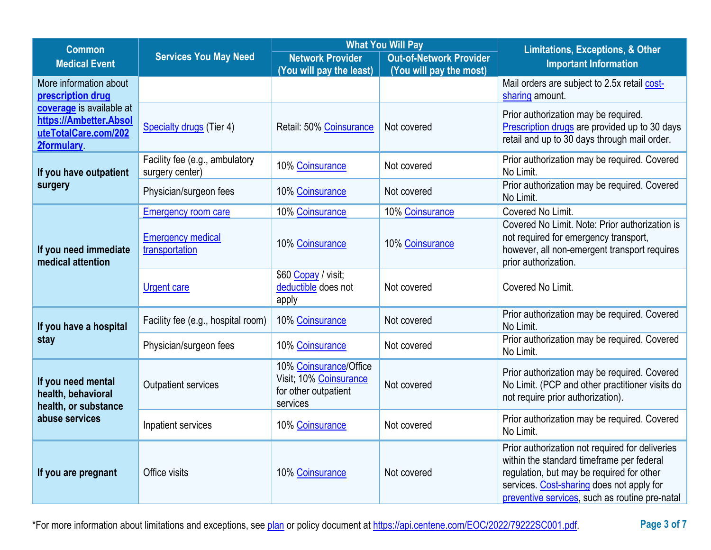| <b>Common</b>                                                                                   | <b>Services You May Need</b>                      | <b>What You Will Pay</b>                                                             |                                | <b>Limitations, Exceptions, &amp; Other</b>                                                                                                                                                                                              |  |
|-------------------------------------------------------------------------------------------------|---------------------------------------------------|--------------------------------------------------------------------------------------|--------------------------------|------------------------------------------------------------------------------------------------------------------------------------------------------------------------------------------------------------------------------------------|--|
| <b>Medical Event</b>                                                                            |                                                   | <b>Network Provider</b>                                                              | <b>Out-of-Network Provider</b> | <b>Important Information</b>                                                                                                                                                                                                             |  |
| More information about                                                                          |                                                   | (You will pay the least)                                                             | (You will pay the most)        | Mail orders are subject to 2.5x retail cost-                                                                                                                                                                                             |  |
| prescription drug                                                                               |                                                   |                                                                                      |                                | sharing amount.                                                                                                                                                                                                                          |  |
| coverage is available at<br>https://Ambetter.Absol<br>uteTotalCare.com/202<br><b>2formulary</b> | Specialty drugs (Tier 4)                          | Retail: 50% Coinsurance                                                              | Not covered                    | Prior authorization may be required.<br>Prescription drugs are provided up to 30 days<br>retail and up to 30 days through mail order.                                                                                                    |  |
| If you have outpatient                                                                          | Facility fee (e.g., ambulatory<br>surgery center) | 10% Coinsurance                                                                      | Not covered                    | Prior authorization may be required. Covered<br>No Limit.                                                                                                                                                                                |  |
| surgery                                                                                         | Physician/surgeon fees                            | 10% Coinsurance                                                                      | Not covered                    | Prior authorization may be required. Covered<br>No Limit.                                                                                                                                                                                |  |
|                                                                                                 | <b>Emergency room care</b>                        | 10% Coinsurance                                                                      | 10% Coinsurance                | Covered No Limit.                                                                                                                                                                                                                        |  |
| If you need immediate<br>medical attention                                                      | <b>Emergency medical</b><br>transportation        | 10% Coinsurance                                                                      | 10% Coinsurance                | Covered No Limit. Note: Prior authorization is<br>not required for emergency transport,<br>however, all non-emergent transport requires<br>prior authorization.                                                                          |  |
|                                                                                                 | <b>Urgent care</b>                                | \$60 Copay / visit;<br>deductible does not<br>apply                                  | Not covered                    | Covered No Limit.                                                                                                                                                                                                                        |  |
| If you have a hospital                                                                          | Facility fee (e.g., hospital room)                | 10% Coinsurance                                                                      | Not covered                    | Prior authorization may be required. Covered<br>No Limit.                                                                                                                                                                                |  |
| stay                                                                                            | Physician/surgeon fees                            | 10% Coinsurance                                                                      | Not covered                    | Prior authorization may be required. Covered<br>No Limit.                                                                                                                                                                                |  |
| If you need mental<br>health, behavioral<br>health, or substance                                | <b>Outpatient services</b>                        | 10% Coinsurance/Office<br>Visit; 10% Coinsurance<br>for other outpatient<br>services | Not covered                    | Prior authorization may be required. Covered<br>No Limit. (PCP and other practitioner visits do<br>not require prior authorization).                                                                                                     |  |
| abuse services                                                                                  | Inpatient services                                | 10% Coinsurance                                                                      | Not covered                    | Prior authorization may be required. Covered<br>No Limit.                                                                                                                                                                                |  |
| If you are pregnant                                                                             | Office visits                                     | 10% Coinsurance                                                                      | Not covered                    | Prior authorization not required for deliveries<br>within the standard timeframe per federal<br>regulation, but may be required for other<br>services. Cost-sharing does not apply for<br>preventive services, such as routine pre-natal |  |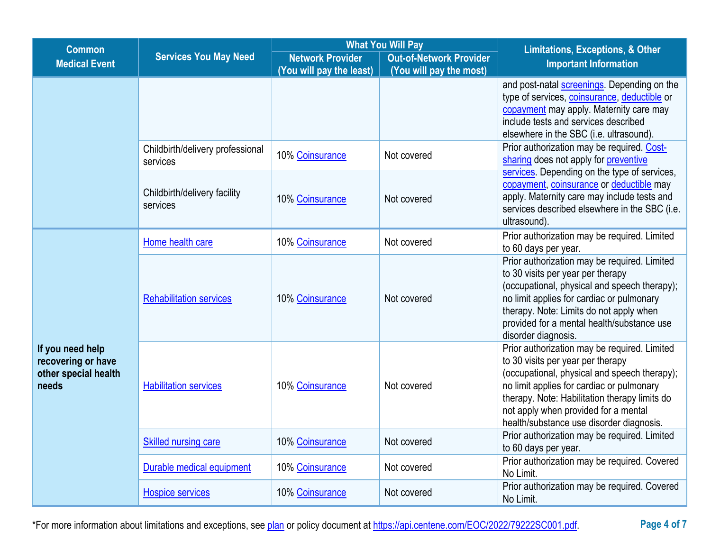|                                                                         | <b>What You Will Pay</b><br><b>Common</b>    |                          |                                | Limitations, Exceptions, & Other                                                                                                                                                                                                                                                                                    |  |
|-------------------------------------------------------------------------|----------------------------------------------|--------------------------|--------------------------------|---------------------------------------------------------------------------------------------------------------------------------------------------------------------------------------------------------------------------------------------------------------------------------------------------------------------|--|
| <b>Medical Event</b>                                                    | <b>Services You May Need</b>                 | <b>Network Provider</b>  | <b>Out-of-Network Provider</b> | <b>Important Information</b>                                                                                                                                                                                                                                                                                        |  |
|                                                                         |                                              | (You will pay the least) | (You will pay the most)        |                                                                                                                                                                                                                                                                                                                     |  |
|                                                                         |                                              |                          |                                | and post-natal screenings. Depending on the<br>type of services, coinsurance, deductible or<br>copayment may apply. Maternity care may<br>include tests and services described<br>elsewhere in the SBC (i.e. ultrasound).                                                                                           |  |
|                                                                         | Childbirth/delivery professional<br>services | 10% Coinsurance          | Not covered                    | Prior authorization may be required. Cost-<br>sharing does not apply for preventive                                                                                                                                                                                                                                 |  |
|                                                                         | Childbirth/delivery facility<br>services     | 10% Coinsurance          | Not covered                    | services. Depending on the type of services,<br>copayment, coinsurance or deductible may<br>apply. Maternity care may include tests and<br>services described elsewhere in the SBC (i.e.<br>ultrasound).                                                                                                            |  |
|                                                                         | Home health care                             | 10% Coinsurance          | Not covered                    | Prior authorization may be required. Limited<br>to 60 days per year.                                                                                                                                                                                                                                                |  |
|                                                                         | <b>Rehabilitation services</b>               | 10% Coinsurance          | Not covered                    | Prior authorization may be required. Limited<br>to 30 visits per year per therapy<br>(occupational, physical and speech therapy);<br>no limit applies for cardiac or pulmonary<br>therapy. Note: Limits do not apply when<br>provided for a mental health/substance use<br>disorder diagnosis.                      |  |
| If you need help<br>recovering or have<br>other special health<br>needs | <b>Habilitation services</b>                 | 10% Coinsurance          | Not covered                    | Prior authorization may be required. Limited<br>to 30 visits per year per therapy<br>(occupational, physical and speech therapy);<br>no limit applies for cardiac or pulmonary<br>therapy. Note: Habilitation therapy limits do<br>not apply when provided for a mental<br>health/substance use disorder diagnosis. |  |
|                                                                         | <b>Skilled nursing care</b>                  | 10% Coinsurance          | Not covered                    | Prior authorization may be required. Limited<br>to 60 days per year.                                                                                                                                                                                                                                                |  |
|                                                                         | Durable medical equipment                    | 10% Coinsurance          | Not covered                    | Prior authorization may be required. Covered<br>No Limit.                                                                                                                                                                                                                                                           |  |
|                                                                         | <b>Hospice services</b>                      | 10% Coinsurance          | Not covered                    | Prior authorization may be required. Covered<br>No Limit.                                                                                                                                                                                                                                                           |  |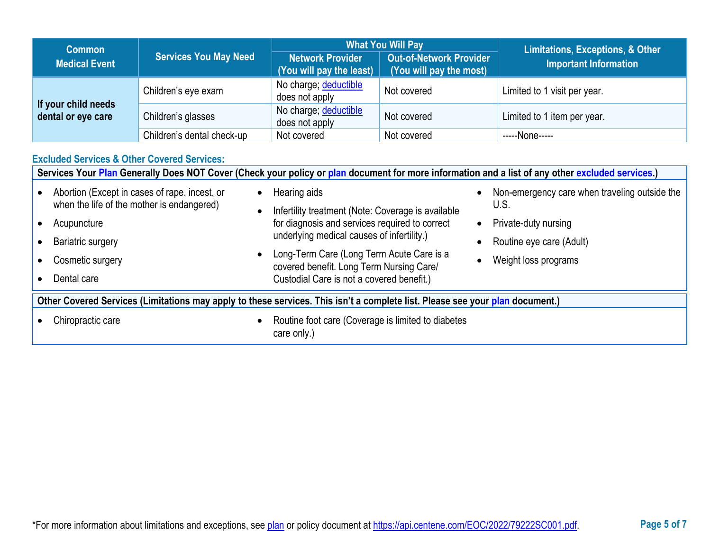| <b>Common</b>                             |                              | <b>What You Will Pay</b>                            |                                                           | Limitations, Exceptions, & Other |  |
|-------------------------------------------|------------------------------|-----------------------------------------------------|-----------------------------------------------------------|----------------------------------|--|
| <b>Medical Event</b>                      | <b>Services You May Need</b> | <b>Network Provider</b><br>(You will pay the least) | <b>Out-of-Network Provider</b><br>(You will pay the most) | <b>Important Information</b>     |  |
|                                           | Children's eye exam          | No charge; deductible<br>does not apply             | Not covered                                               | Limited to 1 visit per year.     |  |
| If your child needs<br>dental or eye care | Children's glasses           | No charge; deductible<br>does not apply             | Not covered                                               | Limited to 1 item per year.      |  |
|                                           | Children's dental check-up   | Not covered                                         | Not covered                                               | -----None-----                   |  |

## **Excluded Services & Other Covered Services:**

|                                                                                                                              | Services Your Plan Generally Does NOT Cover (Check your policy or plan document for more information and a list of any other excluded services.)                   |                                                                                                                                                                                                                                                                                                          |                                                                                                                                   |  |  |  |
|------------------------------------------------------------------------------------------------------------------------------|--------------------------------------------------------------------------------------------------------------------------------------------------------------------|----------------------------------------------------------------------------------------------------------------------------------------------------------------------------------------------------------------------------------------------------------------------------------------------------------|-----------------------------------------------------------------------------------------------------------------------------------|--|--|--|
|                                                                                                                              | Abortion (Except in cases of rape, incest, or<br>when the life of the mother is endangered)<br>Acupuncture<br>Bariatric surgery<br>Cosmetic surgery<br>Dental care | Hearing aids<br>Infertility treatment (Note: Coverage is available<br>for diagnosis and services required to correct<br>underlying medical causes of infertility.)<br>Long-Term Care (Long Term Acute Care is a<br>covered benefit. Long Term Nursing Care/<br>Custodial Care is not a covered benefit.) | Non-emergency care when traveling outside the<br>U.S.<br>Private-duty nursing<br>Routine eye care (Adult)<br>Weight loss programs |  |  |  |
| Other Covered Services (Limitations may apply to these services. This isn't a complete list. Please see your plan document.) |                                                                                                                                                                    |                                                                                                                                                                                                                                                                                                          |                                                                                                                                   |  |  |  |
|                                                                                                                              | Routine foot care (Coverage is limited to diabetes<br>Chiropractic care<br>care only.)                                                                             |                                                                                                                                                                                                                                                                                                          |                                                                                                                                   |  |  |  |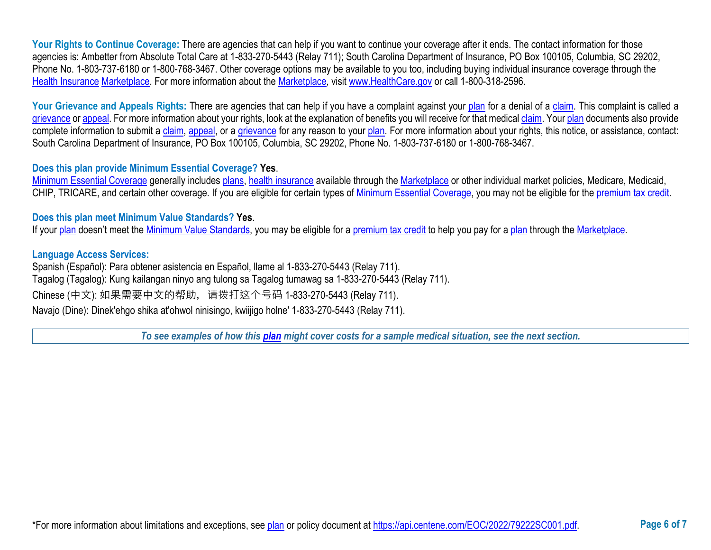Your Rights to Continue Coverage: There are agencies that can help if you want to continue your coverage after it ends. The contact information for those agencies is: Ambetter from Absolute Total Care at 1-833-270-5443 (Relay 711); South Carolina Department of Insurance, PO Box 100105, Columbia, SC 29202, Phone No. 1-803-737-6180 or 1-800-768-3467. Other coverage options may be available to you too, including buying individual insurance coverage through the [Health Insurance](https://www.healthcare.gov/sbc-glossary/#health-insurance) [Marketplace.](https://www.healthcare.gov/sbc-glossary/#marketplace) For more information about the [Marketplace,](https://www.healthcare.gov/sbc-glossary/#marketplace) visit [www.HealthCare.gov](http://www.healthcare.gov/) or call 1-800-318-2596.

Your Grievance and Appeals Rights: There are agencies that can help if you have a complaint against your [plan](https://www.healthcare.gov/sbc-glossary/#plan) for a denial of a [claim.](https://www.healthcare.gov/sbc-glossary/#claim) This complaint is called a [grievance](https://www.healthcare.gov/sbc-glossary/#grievance) or [appeal.](https://www.healthcare.gov/sbc-glossary/#appeal) For more information about your rights, look at the explanation of benefits you will receive for that medical [claim.](https://www.healthcare.gov/sbc-glossary/#claim) Your [plan](https://www.healthcare.gov/sbc-glossary/#plan) documents also provide complete information to submit a [claim,](https://www.healthcare.gov/sbc-glossary/#claim) [appeal,](https://www.healthcare.gov/sbc-glossary/#appeal) or a [grievance](https://www.healthcare.gov/sbc-glossary/#grievance) for any reason to your [plan.](https://www.healthcare.gov/sbc-glossary/#plan) For more information about your rights, this notice, or assistance, contact: South Carolina Department of Insurance, PO Box 100105, Columbia, SC 29202, Phone No. 1-803-737-6180 or 1-800-768-3467.

## **Does this plan provide Minimum Essential Coverage? Yes**.

[Minimum Essential Coverage](https://www.healthcare.gov/sbc-glossary/#minimum-essential-coverage) generally includes [plans,](https://www.healthcare.gov/sbc-glossary/#plan) [health insurance](https://www.healthcare.gov/sbc-glossary/#health-insurance) available through the [Marketplace](https://www.healthcare.gov/sbc-glossary/#marketplace) or other individual market policies, Medicare, Medicaid, CHIP, TRICARE, and certain other coverage. If you are eligible for certain types of [Minimum Essential Coverage,](https://www.healthcare.gov/sbc-glossary/#minimum-essential-coverage) you may not be eligible for the [premium tax credit.](https://www.healthcare.gov/sbc-glossary/#premium-tax-credits)

## **Does this plan meet Minimum Value Standards? Yes**.

If your [plan](https://www.healthcare.gov/sbc-glossary/#plan) doesn't meet the [Minimum Value Standards,](https://www.healthcare.gov/sbc-glossary/#minimum-value-standard) you may be eligible for a [premium tax credit](https://www.healthcare.gov/sbc-glossary/#premium-tax-credits) to help you pay for a [plan](https://www.healthcare.gov/sbc-glossary/#plan) through the [Marketplace.](https://www.healthcare.gov/sbc-glossary/#marketplace)

## **Language Access Services:**

Spanish (Español): Para obtener asistencia en Español, llame al 1-833-270-5443 (Relay 711). Tagalog (Tagalog): Kung kailangan ninyo ang tulong sa Tagalog tumawag sa 1-833-270-5443 (Relay 711). Chinese (中文): 如果需要中文的帮助, 请拨打这个号码 1-833-270-5443 (Relay 711). Navajo (Dine): Dinek'ehgo shika at'ohwol ninisingo, kwiijigo holne' 1-833-270-5443 (Relay 711).

*To see examples of how this [plan](https://www.healthcare.gov/sbc-glossary/#plan) might cover costs for a sample medical situation, see the next section.*